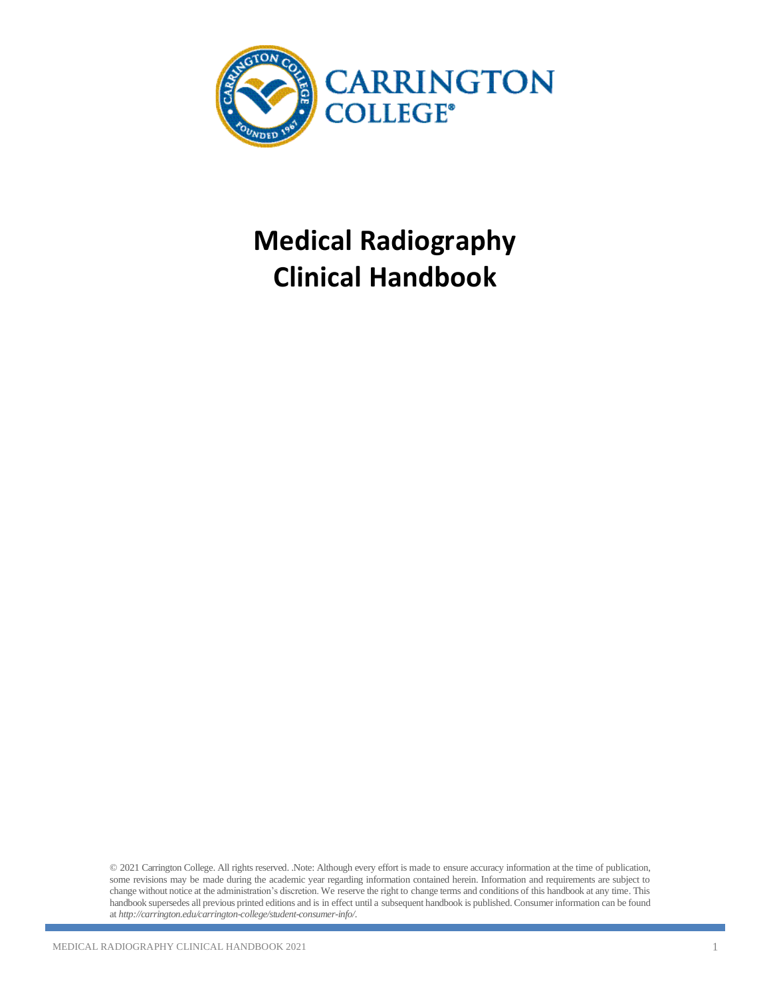

# **Medical Radiography Clinical Handbook**

© 2021 Carrington College. All rights reserved. .Note: Although every effort is made to ensure accuracy information at the time of publication, some revisions may be made during the academic year regarding information contained herein. Information and requirements are subject to change without notice at the administration's discretion. We reserve the right to change terms and conditions of this handbook at any time. This handbook supersedes all previous printed editions and is in effect until a subsequent handbook is published. Consumer information can be found at *<http://carrington.edu/carrington-college/student-consumer-info/>*.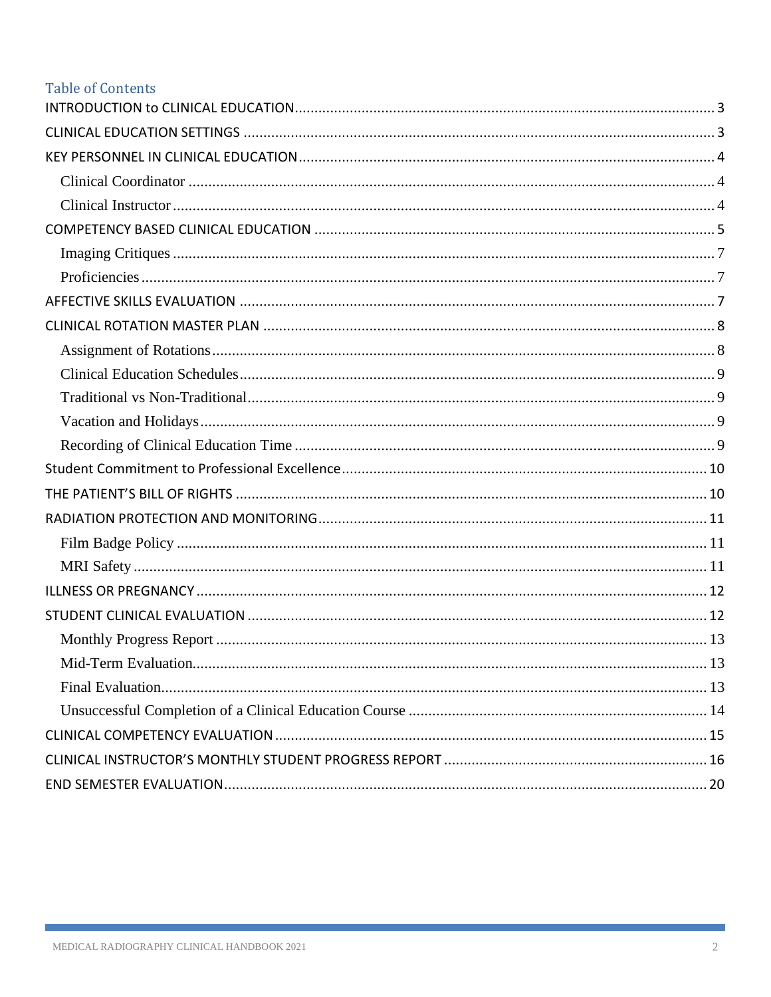# **Table of Contents**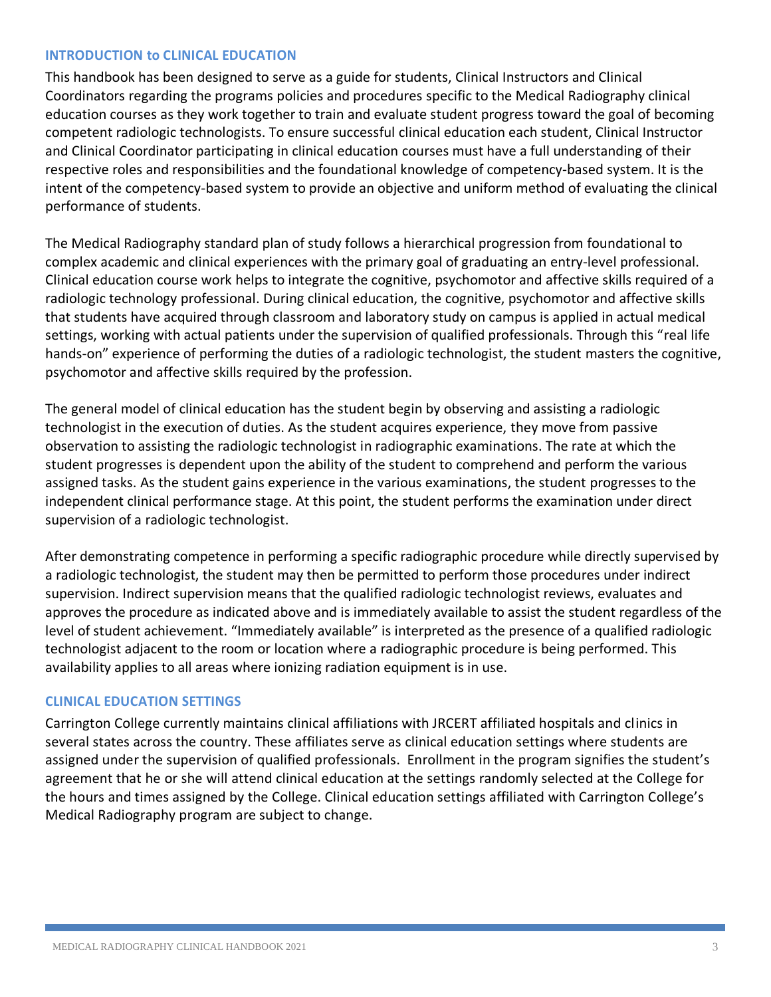#### <span id="page-2-0"></span>**INTRODUCTION to CLINICAL EDUCATION**

This handbook has been designed to serve as a guide for students, Clinical Instructors and Clinical Coordinators regarding the programs policies and procedures specific to the Medical Radiography clinical education courses as they work together to train and evaluate student progress toward the goal of becoming competent radiologic technologists. To ensure successful clinical education each student, Clinical Instructor and Clinical Coordinator participating in clinical education courses must have a full understanding of their respective roles and responsibilities and the foundational knowledge of competency-based system. It is the intent of the competency-based system to provide an objective and uniform method of evaluating the clinical performance of students.

The Medical Radiography standard plan of study follows a hierarchical progression from foundational to complex academic and clinical experiences with the primary goal of graduating an entry-level professional. Clinical education course work helps to integrate the cognitive, psychomotor and affective skills required of a radiologic technology professional. During clinical education, the cognitive, psychomotor and affective skills that students have acquired through classroom and laboratory study on campus is applied in actual medical settings, working with actual patients under the supervision of qualified professionals. Through this "real life hands-on" experience of performing the duties of a radiologic technologist, the student masters the cognitive, psychomotor and affective skills required by the profession.

The general model of clinical education has the student begin by observing and assisting a radiologic technologist in the execution of duties. As the student acquires experience, they move from passive observation to assisting the radiologic technologist in radiographic examinations. The rate at which the student progresses is dependent upon the ability of the student to comprehend and perform the various assigned tasks. As the student gains experience in the various examinations, the student progresses to the independent clinical performance stage. At this point, the student performs the examination under direct supervision of a radiologic technologist.

After demonstrating competence in performing a specific radiographic procedure while directly supervised by a radiologic technologist, the student may then be permitted to perform those procedures under indirect supervision. Indirect supervision means that the qualified radiologic technologist reviews, evaluates and approves the procedure as indicated above and is immediately available to assist the student regardless of the level of student achievement. "Immediately available" is interpreted as the presence of a qualified radiologic technologist adjacent to the room or location where a radiographic procedure is being performed. This availability applies to all areas where ionizing radiation equipment is in use.

## <span id="page-2-1"></span>**CLINICAL EDUCATION SETTINGS**

Carrington College currently maintains clinical affiliations with JRCERT affiliated hospitals and clinics in several states across the country. These affiliates serve as clinical education settings where students are assigned under the supervision of qualified professionals. Enrollment in the program signifies the student's agreement that he or she will attend clinical education at the settings randomly selected at the College for the hours and times assigned by the College. Clinical education settings affiliated with Carrington College's Medical Radiography program are subject to change.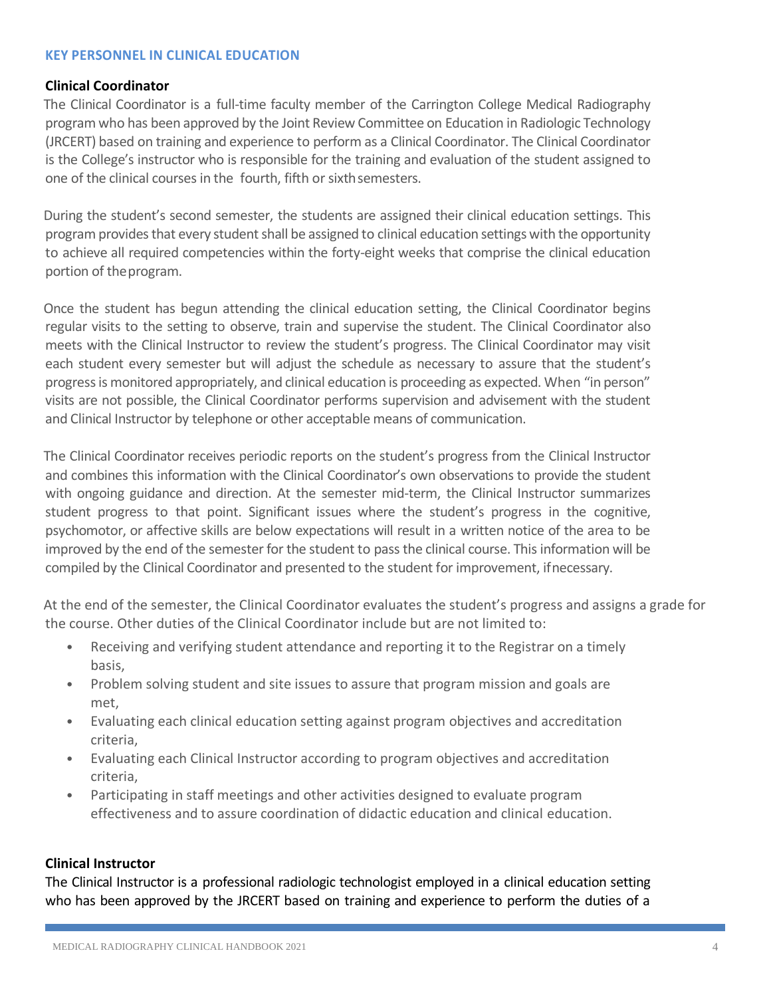#### <span id="page-3-0"></span>**KEY PERSONNEL IN CLINICAL EDUCATION**

#### <span id="page-3-1"></span>**Clinical Coordinator**

The Clinical Coordinator is a full-time faculty member of the Carrington College Medical Radiography program who has been approved by the Joint Review Committee on Education in Radiologic Technology (JRCERT) based on training and experience to perform as a Clinical Coordinator. The Clinical Coordinator is the College's instructor who is responsible for the training and evaluation of the student assigned to one of the clinical courses in the fourth, fifth or sixth semesters.

During the student's second semester, the students are assigned their clinical education settings. This program provides that every student shall be assigned to clinical education settings with the opportunity to achieve all required competencies within the forty-eight weeks that comprise the clinical education portion of theprogram.

Once the student has begun attending the clinical education setting, the Clinical Coordinator begins regular visits to the setting to observe, train and supervise the student. The Clinical Coordinator also meets with the Clinical Instructor to review the student's progress. The Clinical Coordinator may visit each student every semester but will adjust the schedule as necessary to assure that the student's progress is monitored appropriately, and clinical education is proceeding as expected. When "in person" visits are not possible, the Clinical Coordinator performs supervision and advisement with the student and Clinical Instructor by telephone or other acceptable means of communication.

The Clinical Coordinator receives periodic reports on the student's progress from the Clinical Instructor and combines this information with the Clinical Coordinator's own observations to provide the student with ongoing guidance and direction. At the semester mid-term, the Clinical Instructor summarizes student progress to that point. Significant issues where the student's progress in the cognitive, psychomotor, or affective skills are below expectations will result in a written notice of the area to be improved by the end of the semester for the student to pass the clinical course. This information will be compiled by the Clinical Coordinator and presented to the student for improvement, ifnecessary.

At the end of the semester, the Clinical Coordinator evaluates the student's progress and assigns a grade for the course. Other duties of the Clinical Coordinator include but are not limited to:

- Receiving and verifying student attendance and reporting it to the Registrar on a timely basis,
- Problem solving student and site issues to assure that program mission and goals are met,
- Evaluating each clinical education setting against program objectives and accreditation criteria,
- Evaluating each Clinical Instructor according to program objectives and accreditation criteria,
- Participating in staff meetings and other activities designed to evaluate program effectiveness and to assure coordination of didactic education and clinical education.

#### <span id="page-3-2"></span>**Clinical Instructor**

The Clinical Instructor is a professional radiologic technologist employed in a clinical education setting who has been approved by the JRCERT based on training and experience to perform the duties of a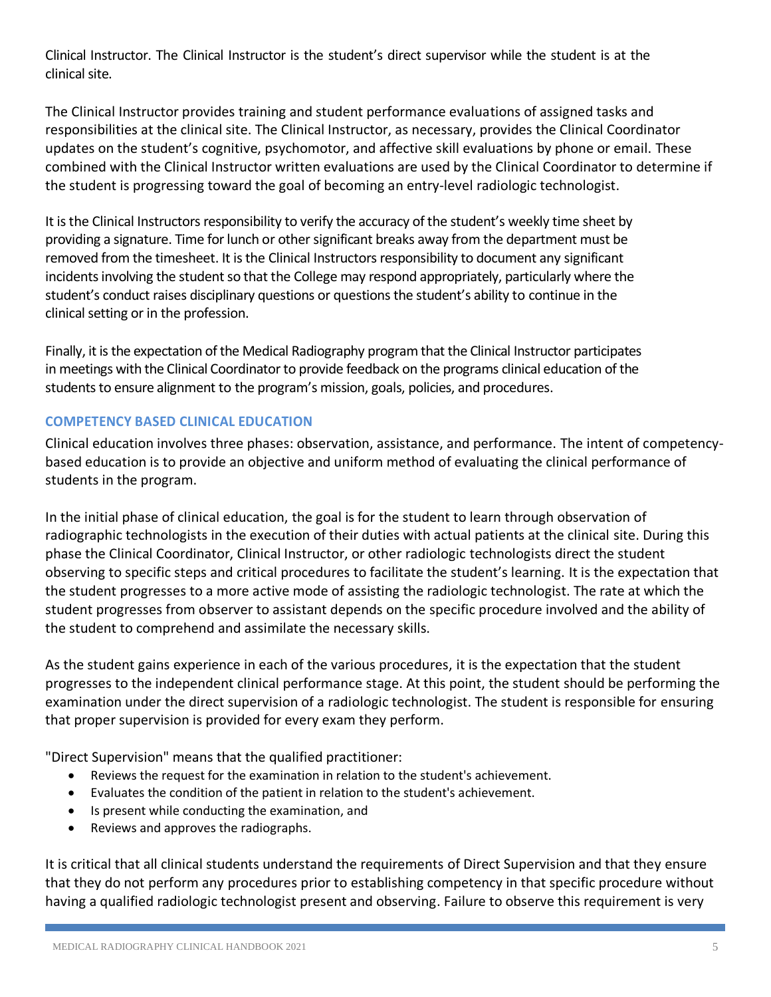Clinical Instructor. The Clinical Instructor is the student's direct supervisor while the student is at the clinical site.

The Clinical Instructor provides training and student performance evaluations of assigned tasks and responsibilities at the clinical site. The Clinical Instructor, as necessary, provides the Clinical Coordinator updates on the student's cognitive, psychomotor, and affective skill evaluations by phone or email. These combined with the Clinical Instructor written evaluations are used by the Clinical Coordinator to determine if the student is progressing toward the goal of becoming an entry-level radiologic technologist.

It is the Clinical Instructors responsibility to verify the accuracy of the student's weekly time sheet by providing a signature. Time for lunch or other significant breaks away from the department must be removed from the timesheet. It is the Clinical Instructors responsibility to document any significant incidents involving the student so that the College may respond appropriately, particularly where the student's conduct raises disciplinary questions or questions the student's ability to continue in the clinical setting or in the profession.

Finally, it is the expectation of the Medical Radiography program that the Clinical Instructor participates in meetings with the Clinical Coordinator to provide feedback on the programs clinical education of the students to ensure alignment to the program's mission, goals, policies, and procedures.

## <span id="page-4-0"></span>**COMPETENCY BASED CLINICAL EDUCATION**

Clinical education involves three phases: observation, assistance, and performance. The intent of competencybased education is to provide an objective and uniform method of evaluating the clinical performance of students in the program.

In the initial phase of clinical education, the goal is for the student to learn through observation of radiographic technologists in the execution of their duties with actual patients at the clinical site. During this phase the Clinical Coordinator, Clinical Instructor, or other radiologic technologists direct the student observing to specific steps and critical procedures to facilitate the student's learning. It is the expectation that the student progresses to a more active mode of assisting the radiologic technologist. The rate at which the student progresses from observer to assistant depends on the specific procedure involved and the ability of the student to comprehend and assimilate the necessary skills.

As the student gains experience in each of the various procedures, it is the expectation that the student progresses to the independent clinical performance stage. At this point, the student should be performing the examination under the direct supervision of a radiologic technologist. The student is responsible for ensuring that proper supervision is provided for every exam they perform.

"Direct Supervision" means that the qualified practitioner:

- Reviews the request for the examination in relation to the student's achievement.
- Evaluates the condition of the patient in relation to the student's achievement.
- Is present while conducting the examination, and
- Reviews and approves the radiographs.

It is critical that all clinical students understand the requirements of Direct Supervision and that they ensure that they do not perform any procedures prior to establishing competency in that specific procedure without having a qualified radiologic technologist present and observing. Failure to observe this requirement is very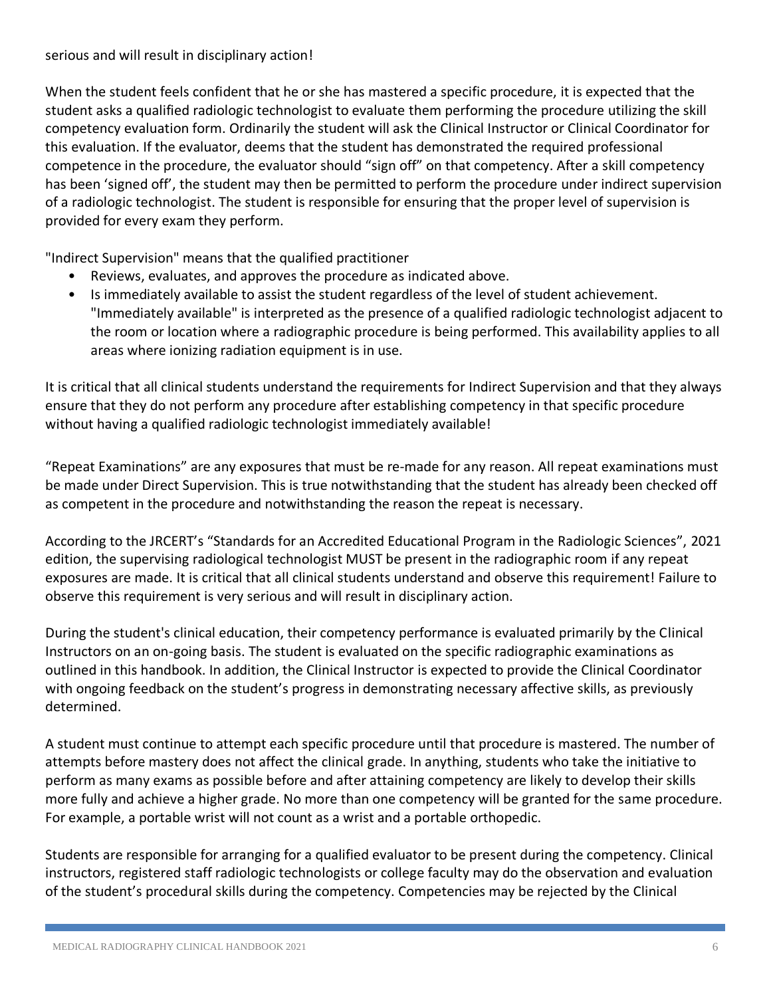## serious and will result in disciplinary action!

When the student feels confident that he or she has mastered a specific procedure, it is expected that the student asks a qualified radiologic technologist to evaluate them performing the procedure utilizing the skill competency evaluation form. Ordinarily the student will ask the Clinical Instructor or Clinical Coordinator for this evaluation. If the evaluator, deems that the student has demonstrated the required professional competence in the procedure, the evaluator should "sign off" on that competency. After a skill competency has been 'signed off', the student may then be permitted to perform the procedure under indirect supervision of a radiologic technologist. The student is responsible for ensuring that the proper level of supervision is provided for every exam they perform.

"Indirect Supervision" means that the qualified practitioner

- Reviews, evaluates, and approves the procedure as indicated above.
- Is immediately available to assist the student regardless of the level of student achievement. "Immediately available" is interpreted as the presence of a qualified radiologic technologist adjacent to the room or location where a radiographic procedure is being performed. This availability applies to all areas where ionizing radiation equipment is in use.

It is critical that all clinical students understand the requirements for Indirect Supervision and that they always ensure that they do not perform any procedure after establishing competency in that specific procedure without having a qualified radiologic technologist immediately available!

"Repeat Examinations" are any exposures that must be re-made for any reason. All repeat examinations must be made under Direct Supervision. This is true notwithstanding that the student has already been checked off as competent in the procedure and notwithstanding the reason the repeat is necessary.

According to the JRCERT's "Standards for an Accredited Educational Program in the Radiologic Sciences", 2021 edition, the supervising radiological technologist MUST be present in the radiographic room if any repeat exposures are made. It is critical that all clinical students understand and observe this requirement! Failure to observe this requirement is very serious and will result in disciplinary action.

During the student's clinical education, their competency performance is evaluated primarily by the Clinical Instructors on an on-going basis. The student is evaluated on the specific radiographic examinations as outlined in this handbook. In addition, the Clinical Instructor is expected to provide the Clinical Coordinator with ongoing feedback on the student's progress in demonstrating necessary affective skills, as previously determined.

A student must continue to attempt each specific procedure until that procedure is mastered. The number of attempts before mastery does not affect the clinical grade. In anything, students who take the initiative to perform as many exams as possible before and after attaining competency are likely to develop their skills more fully and achieve a higher grade. No more than one competency will be granted for the same procedure. For example, a portable wrist will not count as a wrist and a portable orthopedic.

Students are responsible for arranging for a qualified evaluator to be present during the competency. Clinical instructors, registered staff radiologic technologists or college faculty may do the observation and evaluation of the student's procedural skills during the competency. Competencies may be rejected by the Clinical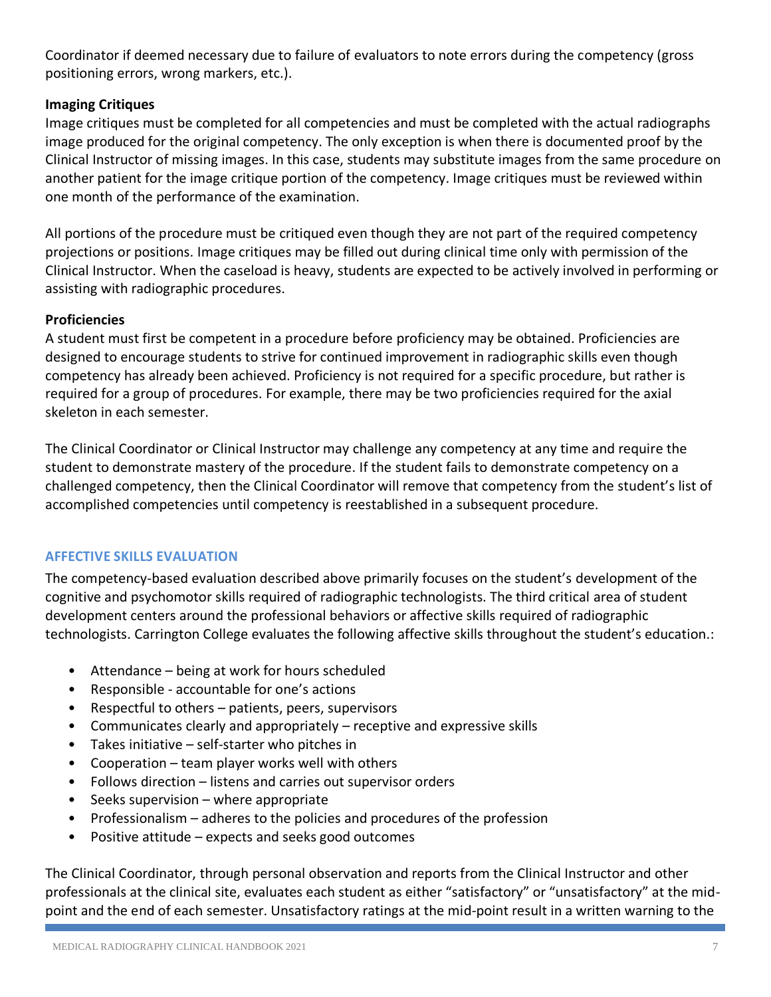Coordinator if deemed necessary due to failure of evaluators to note errors during the competency (gross positioning errors, wrong markers, etc.).

## <span id="page-6-0"></span>**Imaging Critiques**

Image critiques must be completed for all competencies and must be completed with the actual radiographs image produced for the original competency. The only exception is when there is documented proof by the Clinical Instructor of missing images. In this case, students may substitute images from the same procedure on another patient for the image critique portion of the competency. Image critiques must be reviewed within one month of the performance of the examination.

All portions of the procedure must be critiqued even though they are not part of the required competency projections or positions. Image critiques may be filled out during clinical time only with permission of the Clinical Instructor. When the caseload is heavy, students are expected to be actively involved in performing or assisting with radiographic procedures.

## <span id="page-6-1"></span>**Proficiencies**

A student must first be competent in a procedure before proficiency may be obtained. Proficiencies are designed to encourage students to strive for continued improvement in radiographic skills even though competency has already been achieved. Proficiency is not required for a specific procedure, but rather is required for a group of procedures. For example, there may be two proficiencies required for the axial skeleton in each semester.

The Clinical Coordinator or Clinical Instructor may challenge any competency at any time and require the student to demonstrate mastery of the procedure. If the student fails to demonstrate competency on a challenged competency, then the Clinical Coordinator will remove that competency from the student's list of accomplished competencies until competency is reestablished in a subsequent procedure.

## <span id="page-6-2"></span>**AFFECTIVE SKILLS EVALUATION**

The competency-based evaluation described above primarily focuses on the student's development of the cognitive and psychomotor skills required of radiographic technologists. The third critical area of student development centers around the professional behaviors or affective skills required of radiographic technologists. Carrington College evaluates the following affective skills throughout the student's education.:

- Attendance being at work for hours scheduled
- Responsible accountable for one's actions
- Respectful to others patients, peers, supervisors
- Communicates clearly and appropriately receptive and expressive skills
- Takes initiative  $-$  self-starter who pitches in
- Cooperation team player works well with others
- Follows direction listens and carries out supervisor orders
- Seeks supervision where appropriate
- Professionalism adheres to the policies and procedures of the profession
- Positive attitude expects and seeks good outcomes

The Clinical Coordinator, through personal observation and reports from the Clinical Instructor and other professionals at the clinical site, evaluates each student as either "satisfactory" or "unsatisfactory" at the midpoint and the end of each semester. Unsatisfactory ratings at the mid-point result in a written warning to the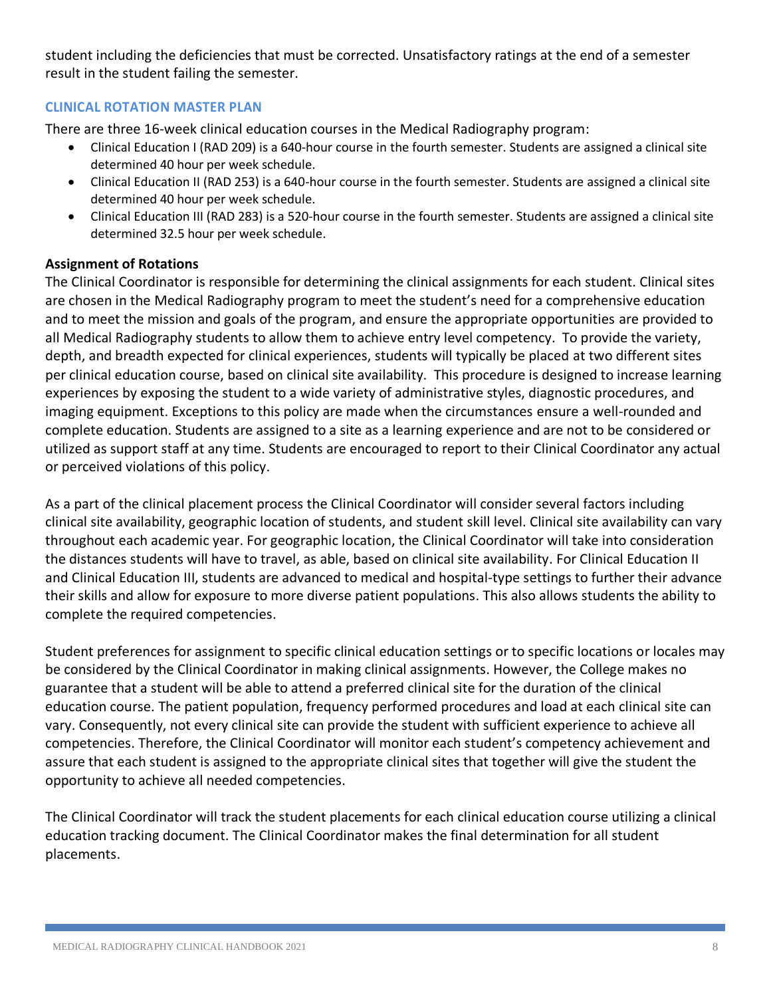student including the deficiencies that must be corrected. Unsatisfactory ratings at the end of a semester result in the student failing the semester.

## <span id="page-7-0"></span>**CLINICAL ROTATION MASTER PLAN**

There are three 16-week clinical education courses in the Medical Radiography program:

- Clinical Education I (RAD 209) is a 640-hour course in the fourth semester. Students are assigned a clinical site determined 40 hour per week schedule.
- Clinical Education II (RAD 253) is a 640-hour course in the fourth semester. Students are assigned a clinical site determined 40 hour per week schedule.
- Clinical Education III (RAD 283) is a 520-hour course in the fourth semester. Students are assigned a clinical site determined 32.5 hour per week schedule.

## <span id="page-7-1"></span>**Assignment of Rotations**

The Clinical Coordinator is responsible for determining the clinical assignments for each student. Clinical sites are chosen in the Medical Radiography program to meet the student's need for a comprehensive education and to meet the mission and goals of the program, and ensure the appropriate opportunities are provided to all Medical Radiography students to allow them to achieve entry level competency. To provide the variety, depth, and breadth expected for clinical experiences, students will typically be placed at two different sites per clinical education course, based on clinical site availability. This procedure is designed to increase learning experiences by exposing the student to a wide variety of administrative styles, diagnostic procedures, and imaging equipment. Exceptions to this policy are made when the circumstances ensure a well-rounded and complete education. Students are assigned to a site as a learning experience and are not to be considered or utilized as support staff at any time. Students are encouraged to report to their Clinical Coordinator any actual or perceived violations of this policy.

As a part of the clinical placement process the Clinical Coordinator will consider several factors including clinical site availability, geographic location of students, and student skill level. Clinical site availability can vary throughout each academic year. For geographic location, the Clinical Coordinator will take into consideration the distances students will have to travel, as able, based on clinical site availability. For Clinical Education II and Clinical Education III, students are advanced to medical and hospital-type settings to further their advance their skills and allow for exposure to more diverse patient populations. This also allows students the ability to complete the required competencies.

Student preferences for assignment to specific clinical education settings or to specific locations or locales may be considered by the Clinical Coordinator in making clinical assignments. However, the College makes no guarantee that a student will be able to attend a preferred clinical site for the duration of the clinical education course. The patient population, frequency performed procedures and load at each clinical site can vary. Consequently, not every clinical site can provide the student with sufficient experience to achieve all competencies. Therefore, the Clinical Coordinator will monitor each student's competency achievement and assure that each student is assigned to the appropriate clinical sites that together will give the student the opportunity to achieve all needed competencies.

The Clinical Coordinator will track the student placements for each clinical education course utilizing a clinical education tracking document. The Clinical Coordinator makes the final determination for all student placements.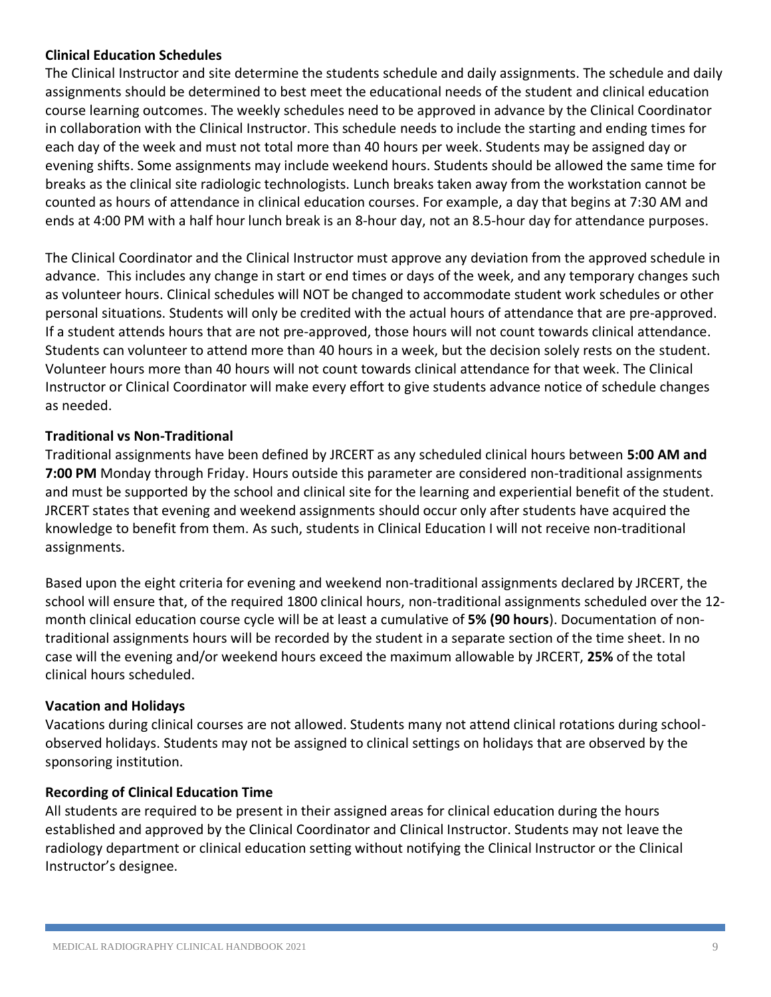## <span id="page-8-0"></span>**Clinical Education Schedules**

The Clinical Instructor and site determine the students schedule and daily assignments. The schedule and daily assignments should be determined to best meet the educational needs of the student and clinical education course learning outcomes. The weekly schedules need to be approved in advance by the Clinical Coordinator in collaboration with the Clinical Instructor. This schedule needs to include the starting and ending times for each day of the week and must not total more than 40 hours per week. Students may be assigned day or evening shifts. Some assignments may include weekend hours. Students should be allowed the same time for breaks as the clinical site radiologic technologists. Lunch breaks taken away from the workstation cannot be counted as hours of attendance in clinical education courses. For example, a day that begins at 7:30 AM and ends at 4:00 PM with a half hour lunch break is an 8-hour day, not an 8.5-hour day for attendance purposes.

The Clinical Coordinator and the Clinical Instructor must approve any deviation from the approved schedule in advance. This includes any change in start or end times or days of the week, and any temporary changes such as volunteer hours. Clinical schedules will NOT be changed to accommodate student work schedules or other personal situations. Students will only be credited with the actual hours of attendance that are pre-approved. If a student attends hours that are not pre-approved, those hours will not count towards clinical attendance. Students can volunteer to attend more than 40 hours in a week, but the decision solely rests on the student. Volunteer hours more than 40 hours will not count towards clinical attendance for that week. The Clinical Instructor or Clinical Coordinator will make every effort to give students advance notice of schedule changes as needed.

## <span id="page-8-1"></span>**Traditional vs Non-Traditional**

Traditional assignments have been defined by JRCERT as any scheduled clinical hours between **5:00 AM and 7:00 PM** Monday through Friday. Hours outside this parameter are considered non-traditional assignments and must be supported by the school and clinical site for the learning and experiential benefit of the student. JRCERT states that evening and weekend assignments should occur only after students have acquired the knowledge to benefit from them. As such, students in Clinical Education I will not receive non-traditional assignments.

Based upon the eight criteria for evening and weekend non-traditional assignments declared by JRCERT, the school will ensure that, of the required 1800 clinical hours, non-traditional assignments scheduled over the 12 month clinical education course cycle will be at least a cumulative of **5% (90 hours**). Documentation of nontraditional assignments hours will be recorded by the student in a separate section of the time sheet. In no case will the evening and/or weekend hours exceed the maximum allowable by JRCERT, **25%** of the total clinical hours scheduled.

## <span id="page-8-2"></span>**Vacation and Holidays**

Vacations during clinical courses are not allowed. Students many not attend clinical rotations during schoolobserved holidays. Students may not be assigned to clinical settings on holidays that are observed by the sponsoring institution.

## <span id="page-8-3"></span>**Recording of Clinical Education Time**

All students are required to be present in their assigned areas for clinical education during the hours established and approved by the Clinical Coordinator and Clinical Instructor. Students may not leave the radiology department or clinical education setting without notifying the Clinical Instructor or the Clinical Instructor's designee.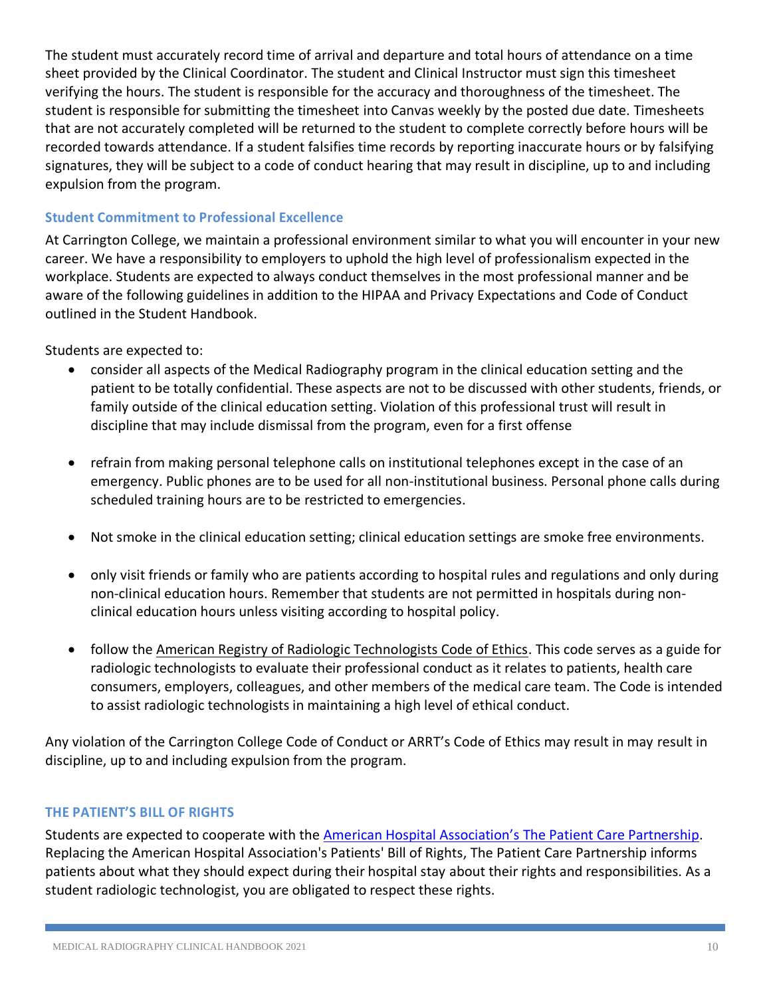The student must accurately record time of arrival and departure and total hours of attendance on a time sheet provided by the Clinical Coordinator. The student and Clinical Instructor must sign this timesheet verifying the hours. The student is responsible for the accuracy and thoroughness of the timesheet. The student is responsible for submitting the timesheet into Canvas weekly by the posted due date. Timesheets that are not accurately completed will be returned to the student to complete correctly before hours will be recorded towards attendance. If a student falsifies time records by reporting inaccurate hours or by falsifying signatures, they will be subject to a code of conduct hearing that may result in discipline, up to and including expulsion from the program.

## <span id="page-9-0"></span>**Student Commitment to Professional Excellence**

At Carrington College, we maintain a professional environment similar to what you will encounter in your new career. We have a responsibility to employers to uphold the high level of professionalism expected in the workplace. Students are expected to always conduct themselves in the most professional manner and be aware of the following guidelines in addition to the HIPAA and Privacy Expectations and Code of Conduct outlined in the Student Handbook.

Students are expected to:

- consider all aspects of the Medical Radiography program in the clinical education setting and the patient to be totally confidential. These aspects are not to be discussed with other students, friends, or family outside of the clinical education setting. Violation of this professional trust will result in discipline that may include dismissal from the program, even for a first offense
- refrain from making personal telephone calls on institutional telephones except in the case of an emergency. Public phones are to be used for all non-institutional business. Personal phone calls during scheduled training hours are to be restricted to emergencies.
- Not smoke in the clinical education setting; clinical education settings are smoke free environments.
- only visit friends or family who are patients according to hospital rules and regulations and only during non-clinical education hours. Remember that students are not permitted in hospitals during nonclinical education hours unless visiting according to hospital policy.
- follow the [American Registry of Radiologic Technologists Code of Ethics.](https://assets-us-01.kc-usercontent.com/406ac8c6-58e8-00b3-e3c1-0c312965deb2/82777f8b-a85d-4d6b-8efc-1b352310eabc/arrt-standards-of-ethics-2020.pdf) This code serves as a guide for radiologic technologists to evaluate their professional conduct as it relates to patients, health care consumers, employers, colleagues, and other members of the medical care team. The Code is intended to assist radiologic technologists in maintaining a high level of ethical conduct.

Any violation of the Carrington College Code of Conduct or ARRT's Code of Ethics may result in may result in discipline, up to and including expulsion from the program.

## <span id="page-9-1"></span>**THE PATIENT'S BILL OF RIGHTS**

Students are expected to cooperate with the [American Hospital Association's](https://www.aha.org/system/files/2018-01/aha-patient-care-partnership.pdf) The Patient Care Partnership. Replacing the American Hospital Association's Patients' Bill of Rights, The Patient Care Partnership informs patients about what they should expect during their hospital stay about their rights and responsibilities. As a student radiologic technologist, you are obligated to respect these rights.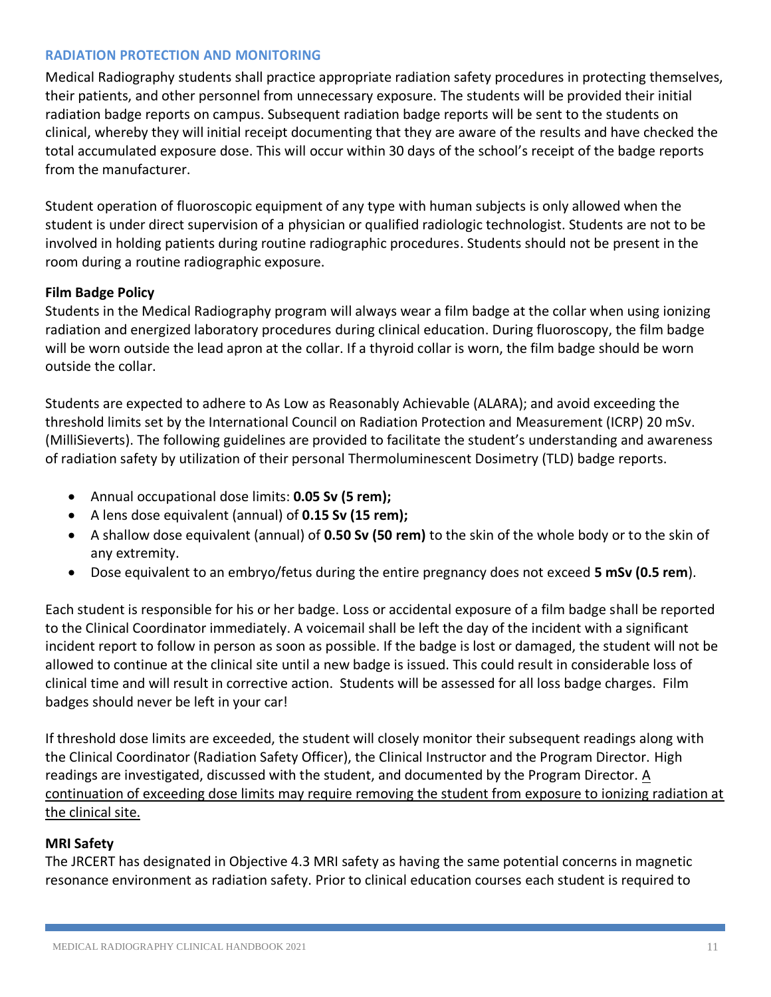#### <span id="page-10-0"></span>**RADIATION PROTECTION AND MONITORING**

Medical Radiography students shall practice appropriate radiation safety procedures in protecting themselves, their patients, and other personnel from unnecessary exposure. The students will be provided their initial radiation badge reports on campus. Subsequent radiation badge reports will be sent to the students on clinical, whereby they will initial receipt documenting that they are aware of the results and have checked the total accumulated exposure dose. This will occur within 30 days of the school's receipt of the badge reports from the manufacturer.

Student operation of fluoroscopic equipment of any type with human subjects is only allowed when the student is under direct supervision of a physician or qualified radiologic technologist. Students are not to be involved in holding patients during routine radiographic procedures. Students should not be present in the room during a routine radiographic exposure.

#### <span id="page-10-1"></span>**Film Badge Policy**

Students in the Medical Radiography program will always wear a film badge at the collar when using ionizing radiation and energized laboratory procedures during clinical education. During fluoroscopy, the film badge will be worn outside the lead apron at the collar. If a thyroid collar is worn, the film badge should be worn outside the collar.

Students are expected to adhere to As Low as Reasonably Achievable (ALARA); and avoid exceeding the threshold limits set by the International Council on Radiation Protection and Measurement (ICRP) 20 mSv. (MilliSieverts). The following guidelines are provided to facilitate the student's understanding and awareness of radiation safety by utilization of their personal Thermoluminescent Dosimetry (TLD) badge reports.

- Annual occupational dose limits: **0.05 Sv (5 rem);**
- A lens dose equivalent (annual) of **0.15 Sv (15 rem);**
- A shallow dose equivalent (annual) of **0.50 Sv (50 rem)** to the skin of the whole body or to the skin of any extremity.
- Dose equivalent to an embryo/fetus during the entire pregnancy does not exceed **5 mSv (0.5 rem**).

Each student is responsible for his or her badge. Loss or accidental exposure of a film badge shall be reported to the Clinical Coordinator immediately. A voicemail shall be left the day of the incident with a significant incident report to follow in person as soon as possible. If the badge is lost or damaged, the student will not be allowed to continue at the clinical site until a new badge is issued. This could result in considerable loss of clinical time and will result in corrective action. Students will be assessed for all loss badge charges. Film badges should never be left in your car!

If threshold dose limits are exceeded, the student will closely monitor their subsequent readings along with the Clinical Coordinator (Radiation Safety Officer), the Clinical Instructor and the Program Director. High readings are investigated, discussed with the student, and documented by the Program Director. A continuation of exceeding dose limits may require removing the student from exposure to ionizing radiation at the clinical site.

#### <span id="page-10-2"></span>**MRI Safety**

The JRCERT has designated in Objective 4.3 MRI safety as having the same potential concerns in magnetic resonance environment as radiation safety. Prior to clinical education courses each student is required to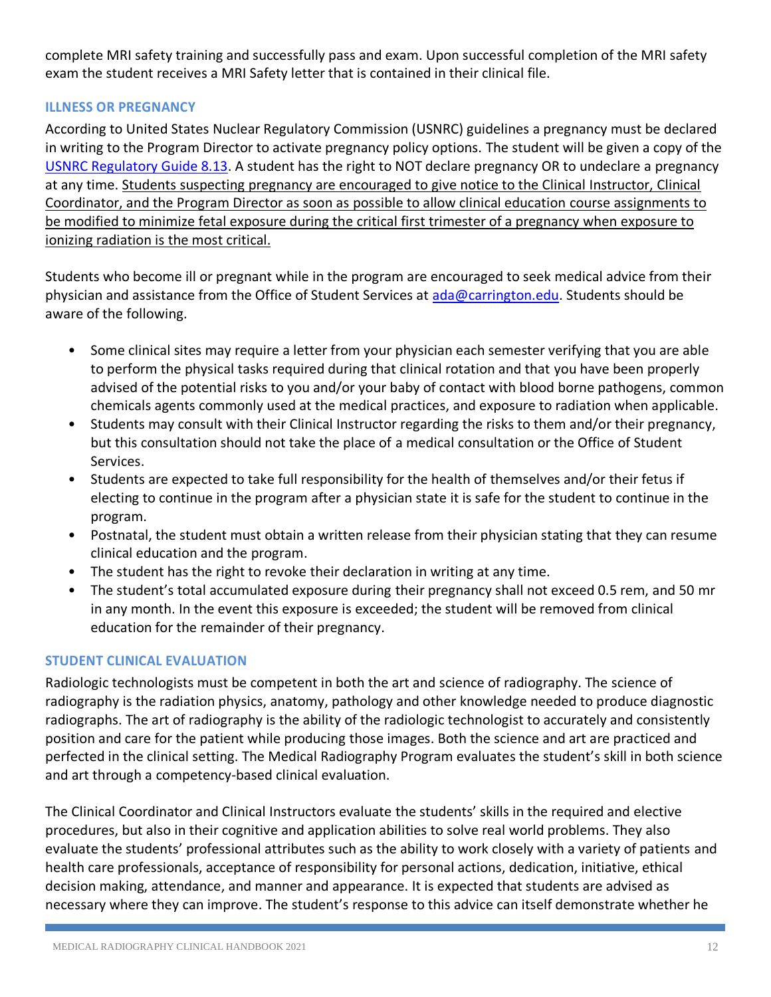complete MRI safety training and successfully pass and exam. Upon successful completion of the MRI safety exam the student receives a MRI Safety letter that is contained in their clinical file.

## <span id="page-11-0"></span>**ILLNESS OR PREGNANCY**

According to United States Nuclear Regulatory Commission (USNRC) guidelines a pregnancy must be declared in writing to the Program Director to activate pregnancy policy options. The student will be given a copy of the [USNRC Regulatory Guide 8.13.](https://www.nrc.gov/reading-rm/doc-collections/reg-guides/occupational-health/rg/division-8/division-8-1.html) A student has the right to NOT declare pregnancy OR to undeclare a pregnancy at any time. Students suspecting pregnancy are encouraged to give notice to the Clinical Instructor, Clinical Coordinator, and the Program Director as soon as possible to allow clinical education course assignments to be modified to minimize fetal exposure during the critical first trimester of a pregnancy when exposure to ionizing radiation is the most critical.

Students who become ill or pregnant while in the program are encouraged to seek medical advice from their physician and assistance from the Office of Student Services at [ada@carrington.edu.](mailto:ada@carrington.edu) Students should be aware of the following.

- Some clinical sites may require a letter from your physician each semester verifying that you are able to perform the physical tasks required during that clinical rotation and that you have been properly advised of the potential risks to you and/or your baby of contact with blood borne pathogens, common chemicals agents commonly used at the medical practices, and exposure to radiation when applicable.
- Students may consult with their Clinical Instructor regarding the risks to them and/or their pregnancy, but this consultation should not take the place of a medical consultation or the Office of Student Services.
- Students are expected to take full responsibility for the health of themselves and/or their fetus if electing to continue in the program after a physician state it is safe for the student to continue in the program.
- Postnatal, the student must obtain a written release from their physician stating that they can resume clinical education and the program.
- The student has the right to revoke their declaration in writing at any time.
- The student's total accumulated exposure during their pregnancy shall not exceed 0.5 rem, and 50 mr in any month. In the event this exposure is exceeded; the student will be removed from clinical education for the remainder of their pregnancy.

## <span id="page-11-1"></span>**STUDENT CLINICAL EVALUATION**

Radiologic technologists must be competent in both the art and science of radiography. The science of radiography is the radiation physics, anatomy, pathology and other knowledge needed to produce diagnostic radiographs. The art of radiography is the ability of the radiologic technologist to accurately and consistently position and care for the patient while producing those images. Both the science and art are practiced and perfected in the clinical setting. The Medical Radiography Program evaluates the student's skill in both science and art through a competency-based clinical evaluation.

The Clinical Coordinator and Clinical Instructors evaluate the students' skills in the required and elective procedures, but also in their cognitive and application abilities to solve real world problems. They also evaluate the students' professional attributes such as the ability to work closely with a variety of patients and health care professionals, acceptance of responsibility for personal actions, dedication, initiative, ethical decision making, attendance, and manner and appearance. It is expected that students are advised as necessary where they can improve. The student's response to this advice can itself demonstrate whether he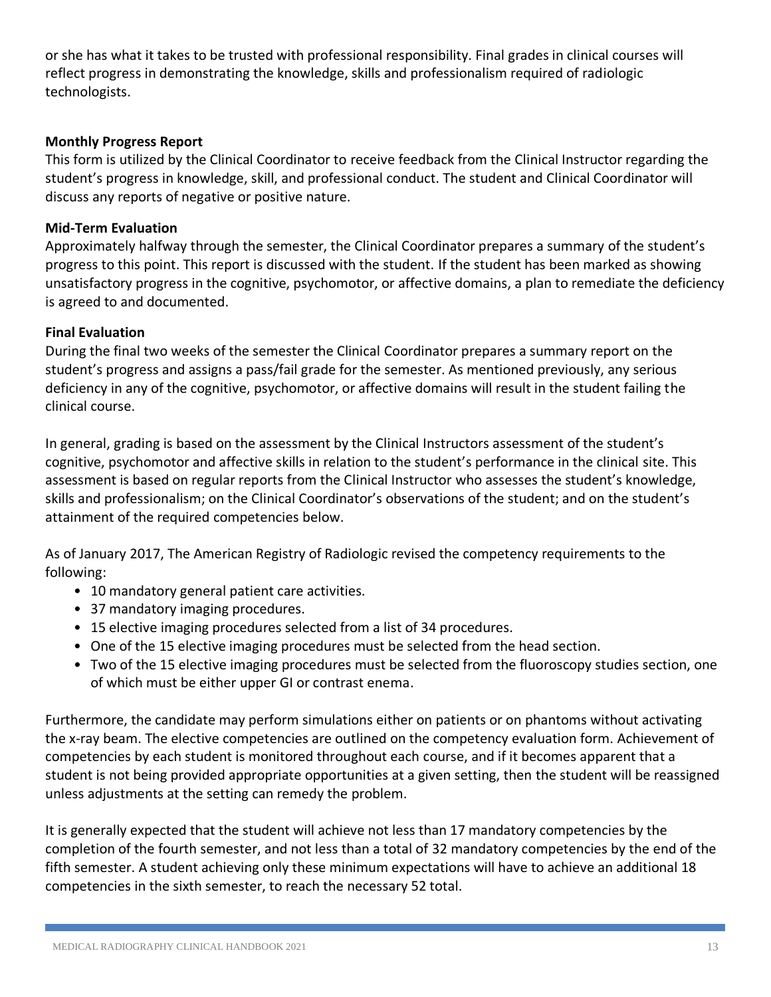or she has what it takes to be trusted with professional responsibility. Final grades in clinical courses will reflect progress in demonstrating the knowledge, skills and professionalism required of radiologic technologists.

## <span id="page-12-0"></span>**Monthly Progress Report**

This form is utilized by the Clinical Coordinator to receive feedback from the Clinical Instructor regarding the student's progress in knowledge, skill, and professional conduct. The student and Clinical Coordinator will discuss any reports of negative or positive nature.

## <span id="page-12-1"></span>**Mid-Term Evaluation**

Approximately halfway through the semester, the Clinical Coordinator prepares a summary of the student's progress to this point. This report is discussed with the student. If the student has been marked as showing unsatisfactory progress in the cognitive, psychomotor, or affective domains, a plan to remediate the deficiency is agreed to and documented.

## <span id="page-12-2"></span>**Final Evaluation**

During the final two weeks of the semester the Clinical Coordinator prepares a summary report on the student's progress and assigns a pass/fail grade for the semester. As mentioned previously, any serious deficiency in any of the cognitive, psychomotor, or affective domains will result in the student failing the clinical course.

In general, grading is based on the assessment by the Clinical Instructors assessment of the student's cognitive, psychomotor and affective skills in relation to the student's performance in the clinical site. This assessment is based on regular reports from the Clinical Instructor who assesses the student's knowledge, skills and professionalism; on the Clinical Coordinator's observations of the student; and on the student's attainment of the required competencies below.

As of January 2017, The American Registry of Radiologic revised the competency requirements to the following:

- 10 mandatory general patient care activities.
- 37 mandatory imaging procedures.
- 15 elective imaging procedures selected from a list of 34 procedures.
- One of the 15 elective imaging procedures must be selected from the head section.
- Two of the 15 elective imaging procedures must be selected from the fluoroscopy studies section, one of which must be either upper GI or contrast enema.

Furthermore, the candidate may perform simulations either on patients or on phantoms without activating the x-ray beam. The elective competencies are outlined on the competency evaluation form. Achievement of competencies by each student is monitored throughout each course, and if it becomes apparent that a student is not being provided appropriate opportunities at a given setting, then the student will be reassigned unless adjustments at the setting can remedy the problem.

It is generally expected that the student will achieve not less than 17 mandatory competencies by the completion of the fourth semester, and not less than a total of 32 mandatory competencies by the end of the fifth semester. A student achieving only these minimum expectations will have to achieve an additional 18 competencies in the sixth semester, to reach the necessary 52 total.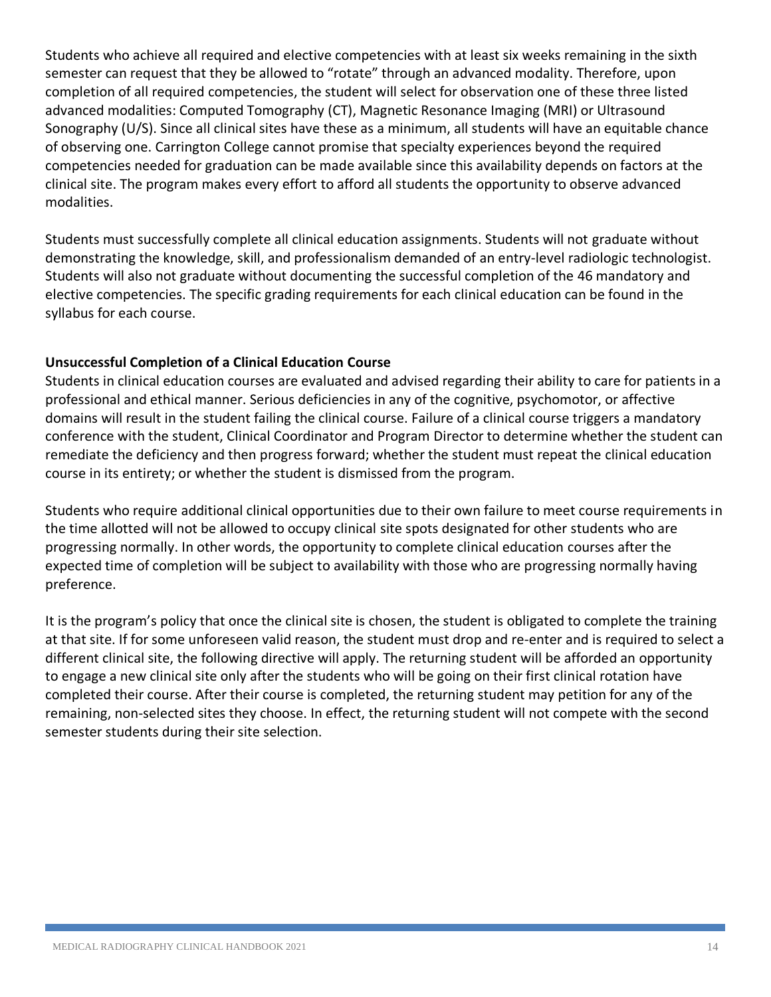Students who achieve all required and elective competencies with at least six weeks remaining in the sixth semester can request that they be allowed to "rotate" through an advanced modality. Therefore, upon completion of all required competencies, the student will select for observation one of these three listed advanced modalities: Computed Tomography (CT), Magnetic Resonance Imaging (MRI) or Ultrasound Sonography (U/S). Since all clinical sites have these as a minimum, all students will have an equitable chance of observing one. Carrington College cannot promise that specialty experiences beyond the required competencies needed for graduation can be made available since this availability depends on factors at the clinical site. The program makes every effort to afford all students the opportunity to observe advanced modalities.

Students must successfully complete all clinical education assignments. Students will not graduate without demonstrating the knowledge, skill, and professionalism demanded of an entry-level radiologic technologist. Students will also not graduate without documenting the successful completion of the 46 mandatory and elective competencies. The specific grading requirements for each clinical education can be found in the syllabus for each course.

## <span id="page-13-0"></span>**Unsuccessful Completion of a Clinical Education Course**

Students in clinical education courses are evaluated and advised regarding their ability to care for patients in a professional and ethical manner. Serious deficiencies in any of the cognitive, psychomotor, or affective domains will result in the student failing the clinical course. Failure of a clinical course triggers a mandatory conference with the student, Clinical Coordinator and Program Director to determine whether the student can remediate the deficiency and then progress forward; whether the student must repeat the clinical education course in its entirety; or whether the student is dismissed from the program.

Students who require additional clinical opportunities due to their own failure to meet course requirements in the time allotted will not be allowed to occupy clinical site spots designated for other students who are progressing normally. In other words, the opportunity to complete clinical education courses after the expected time of completion will be subject to availability with those who are progressing normally having preference.

It is the program's policy that once the clinical site is chosen, the student is obligated to complete the training at that site. If for some unforeseen valid reason, the student must drop and re-enter and is required to select a different clinical site, the following directive will apply. The returning student will be afforded an opportunity to engage a new clinical site only after the students who will be going on their first clinical rotation have completed their course. After their course is completed, the returning student may petition for any of the remaining, non-selected sites they choose. In effect, the returning student will not compete with the second semester students during their site selection.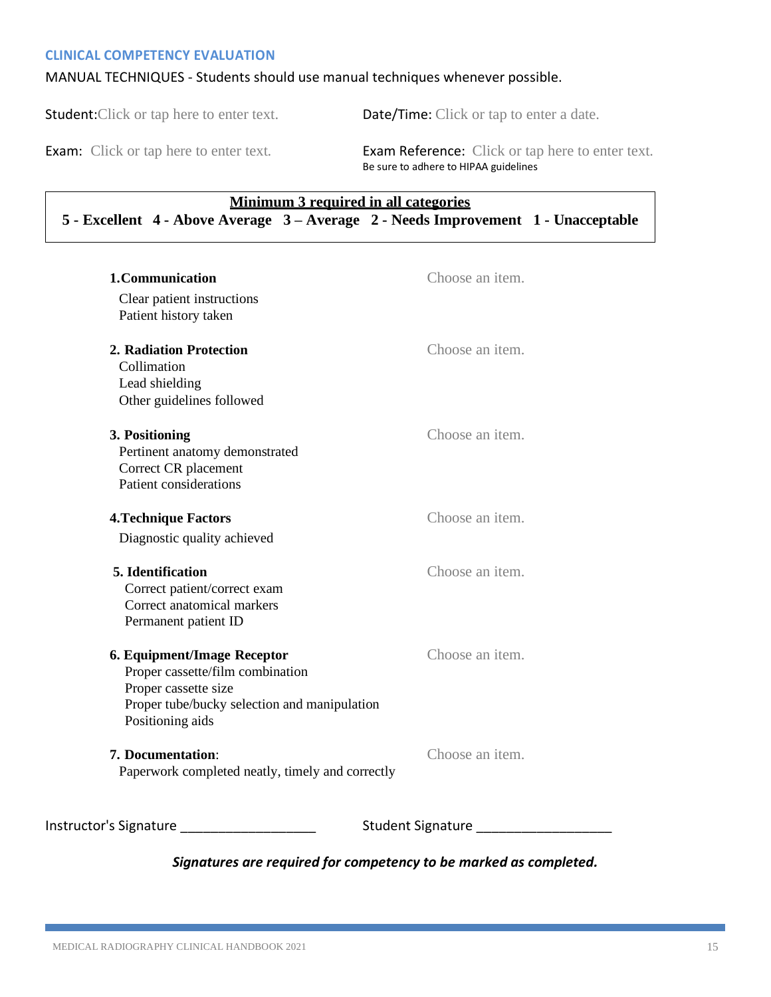#### <span id="page-14-0"></span>**CLINICAL COMPETENCY EVALUATION**

#### MANUAL TECHNIQUES - Students should use manual techniques whenever possible.

Student:Click or tap here to enter text. Date/Time: Click or tap to enter a date.

Exam: Click or tap here to enter text.<br>
Exam Reference: Click or tap here to enter text. Be sure to adhere to HIPAA guidelines

## **Minimum 3 required in all categories 5 - Excellent 4 - Above Average 3 – Average 2 - Needs Improvement 1 - Unacceptable**

| 1. Communication                                                                                                                                            | Choose an item.          |
|-------------------------------------------------------------------------------------------------------------------------------------------------------------|--------------------------|
| Clear patient instructions<br>Patient history taken                                                                                                         |                          |
| 2. Radiation Protection<br>Collimation<br>Lead shielding<br>Other guidelines followed                                                                       | Choose an item.          |
| 3. Positioning<br>Pertinent anatomy demonstrated<br>Correct CR placement<br>Patient considerations                                                          | Choose an item.          |
| <b>4. Technique Factors</b><br>Diagnostic quality achieved                                                                                                  | Choose an item.          |
| 5. Identification<br>Correct patient/correct exam<br>Correct anatomical markers<br>Permanent patient ID                                                     | Choose an item.          |
| 6. Equipment/Image Receptor<br>Proper cassette/film combination<br>Proper cassette size<br>Proper tube/bucky selection and manipulation<br>Positioning aids | Choose an item.          |
| 7. Documentation:<br>Paperwork completed neatly, timely and correctly                                                                                       | Choose an item.          |
| Instructor's Signature                                                                                                                                      | <b>Student Signature</b> |
|                                                                                                                                                             |                          |

## *Signatures are required for competency to be marked as completed.*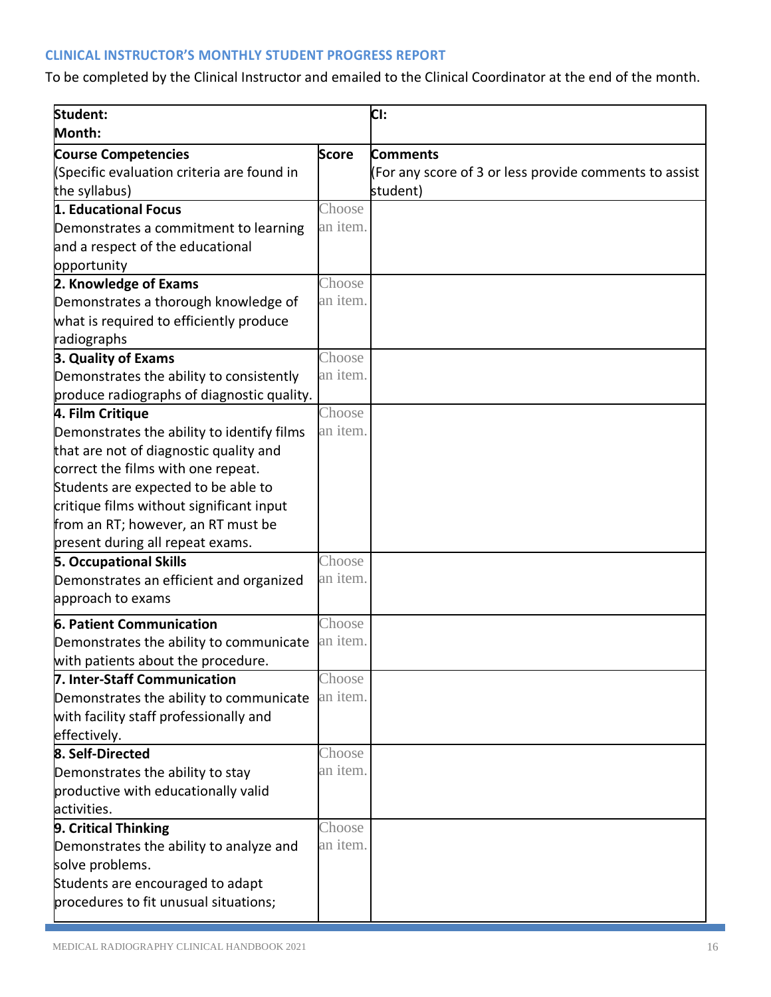# <span id="page-15-0"></span>**CLINICAL INSTRUCTOR'S MONTHLY STUDENT PROGRESS REPORT**

To be completed by the Clinical Instructor and emailed to the Clinical Coordinator at the end of the month.

| Student:                                   |              | CI:                                                    |
|--------------------------------------------|--------------|--------------------------------------------------------|
| Month:                                     |              |                                                        |
| <b>Course Competencies</b>                 | <b>Score</b> | <b>Comments</b>                                        |
| (Specific evaluation criteria are found in |              | (For any score of 3 or less provide comments to assist |
| the syllabus)                              |              | student)                                               |
| 1. Educational Focus                       | Choose       |                                                        |
| Demonstrates a commitment to learning      | an item.     |                                                        |
| and a respect of the educational           |              |                                                        |
| opportunity                                |              |                                                        |
| 2. Knowledge of Exams                      | Choose       |                                                        |
| Demonstrates a thorough knowledge of       | an item.     |                                                        |
| what is required to efficiently produce    |              |                                                        |
| radiographs                                |              |                                                        |
| 3. Quality of Exams                        | Choose       |                                                        |
| Demonstrates the ability to consistently   | an item.     |                                                        |
| produce radiographs of diagnostic quality. |              |                                                        |
| 4. Film Critique                           | Choose       |                                                        |
| Demonstrates the ability to identify films | an item.     |                                                        |
| that are not of diagnostic quality and     |              |                                                        |
| correct the films with one repeat.         |              |                                                        |
| Students are expected to be able to        |              |                                                        |
| critique films without significant input   |              |                                                        |
| from an RT; however, an RT must be         |              |                                                        |
| present during all repeat exams.           |              |                                                        |
| <b>5. Occupational Skills</b>              | Choose       |                                                        |
| Demonstrates an efficient and organized    | an item.     |                                                        |
| approach to exams                          |              |                                                        |
| 6. Patient Communication                   | Choose       |                                                        |
| Demonstrates the ability to communicate    | an item.     |                                                        |
| with patients about the procedure.         |              |                                                        |
| 7. Inter-Staff Communication               | Choose       |                                                        |
| Demonstrates the ability to communicate    | an item.     |                                                        |
| with facility staff professionally and     |              |                                                        |
| effectively.                               |              |                                                        |
| 8. Self-Directed                           | Choose       |                                                        |
| Demonstrates the ability to stay           | an item.     |                                                        |
| productive with educationally valid        |              |                                                        |
| activities.                                |              |                                                        |
| 9. Critical Thinking                       | Choose       |                                                        |
| Demonstrates the ability to analyze and    | an item.     |                                                        |
| solve problems.                            |              |                                                        |
| Students are encouraged to adapt           |              |                                                        |
| procedures to fit unusual situations;      |              |                                                        |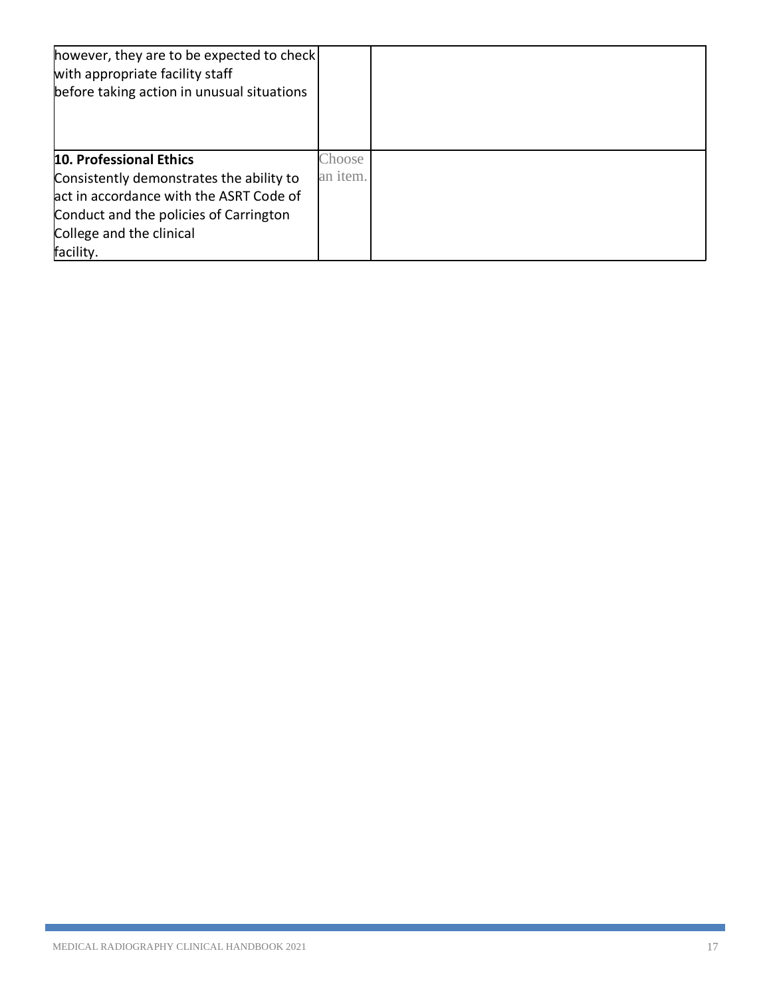| however, they are to be expected to check<br>with appropriate facility staff<br>before taking action in unusual situations |          |  |
|----------------------------------------------------------------------------------------------------------------------------|----------|--|
| 10. Professional Ethics                                                                                                    | Choose   |  |
| Consistently demonstrates the ability to                                                                                   | an item. |  |
| act in accordance with the ASRT Code of                                                                                    |          |  |
| Conduct and the policies of Carrington                                                                                     |          |  |
| College and the clinical                                                                                                   |          |  |
| facility.                                                                                                                  |          |  |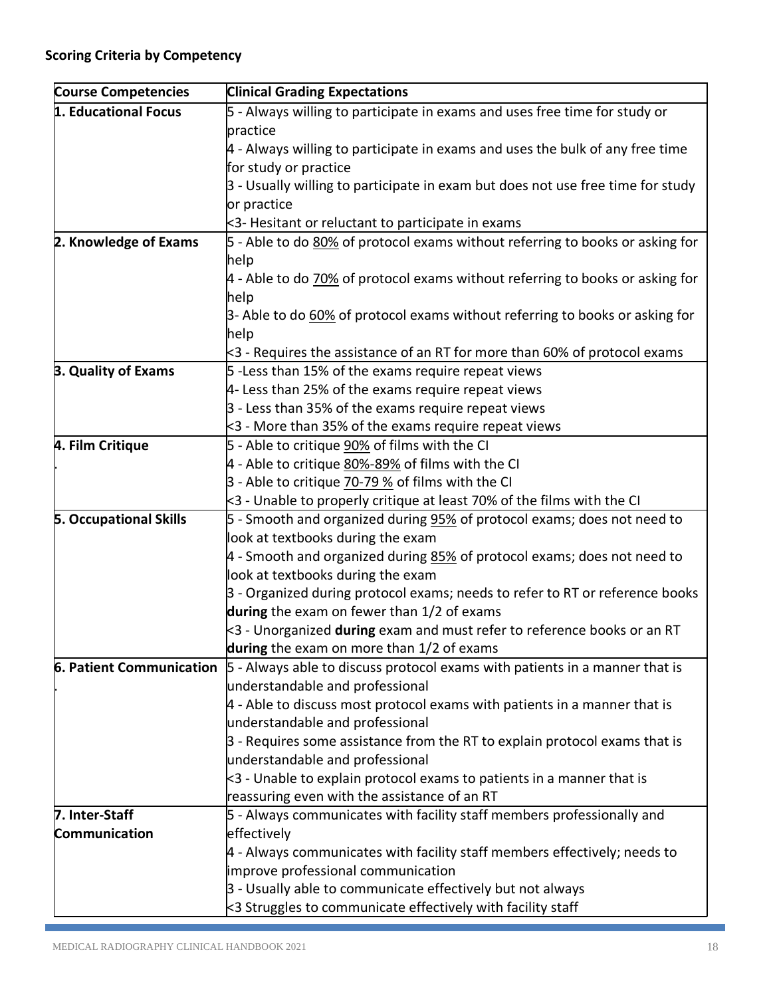| <b>Course Competencies</b>    | <b>Clinical Grading Expectations</b>                                                                                   |
|-------------------------------|------------------------------------------------------------------------------------------------------------------------|
| 1. Educational Focus          | 5 - Always willing to participate in exams and uses free time for study or                                             |
|                               | practice                                                                                                               |
|                               | $4$ - Always willing to participate in exams and uses the bulk of any free time                                        |
|                               | for study or practice                                                                                                  |
|                               | 3 - Usually willing to participate in exam but does not use free time for study                                        |
|                               | or practice                                                                                                            |
|                               | $\leq$ 3-Hesitant or reluctant to participate in exams                                                                 |
| 2. Knowledge of Exams         | 5 - Able to do 80% of protocol exams without referring to books or asking for                                          |
|                               | help                                                                                                                   |
|                               | $4$ - Able to do $70\%$ of protocol exams without referring to books or asking for                                     |
|                               | help                                                                                                                   |
|                               | 3- Able to do 60% of protocol exams without referring to books or asking for                                           |
|                               | help                                                                                                                   |
|                               | $\approx$ 3 - Requires the assistance of an RT for more than 60% of protocol exams                                     |
| 3. Quality of Exams           | 5 -Less than 15% of the exams require repeat views                                                                     |
|                               | 4- Less than 25% of the exams require repeat views                                                                     |
|                               | 3 - Less than 35% of the exams require repeat views                                                                    |
|                               | $<$ 3 - More than 35% of the exams require repeat views                                                                |
| 4. Film Critique              | 5 - Able to critique 90% of films with the CI                                                                          |
|                               | 4 - Able to critique 80%-89% of films with the CI                                                                      |
|                               | 3 - Able to critique 70-79 % of films with the CI                                                                      |
|                               | $\approx$ 3 - Unable to properly critique at least 70% of the films with the CI                                        |
| <b>5. Occupational Skills</b> | 5 - Smooth and organized during 95% of protocol exams; does not need to                                                |
|                               | look at textbooks during the exam                                                                                      |
|                               | 4 - Smooth and organized during 85% of protocol exams; does not need to                                                |
|                               | look at textbooks during the exam                                                                                      |
|                               | 3 - Organized during protocol exams; needs to refer to RT or reference books                                           |
|                               | during the exam on fewer than 1/2 of exams                                                                             |
|                               | <3 - Unorganized during exam and must refer to reference books or an RT                                                |
|                               | during the exam on more than 1/2 of exams                                                                              |
| 6. Patient Communication      | 5 - Always able to discuss protocol exams with patients in a manner that is                                            |
|                               | understandable and professional                                                                                        |
|                               | $4$ - Able to discuss most protocol exams with patients in a manner that is                                            |
|                               | understandable and professional                                                                                        |
|                               | $\beta$ - Requires some assistance from the RT to explain protocol exams that is                                       |
|                               | understandable and professional                                                                                        |
|                               | $\approx$ 3 - Unable to explain protocol exams to patients in a manner that is                                         |
| 7. Inter-Staff                | reassuring even with the assistance of an RT<br>5 - Always communicates with facility staff members professionally and |
| Communication                 | effectively                                                                                                            |
|                               |                                                                                                                        |
|                               | 4 - Always communicates with facility staff members effectively; needs to<br>improve professional communication        |
|                               | 3 - Usually able to communicate effectively but not always                                                             |
|                               |                                                                                                                        |
|                               | $\leq$ 3 Struggles to communicate effectively with facility staff                                                      |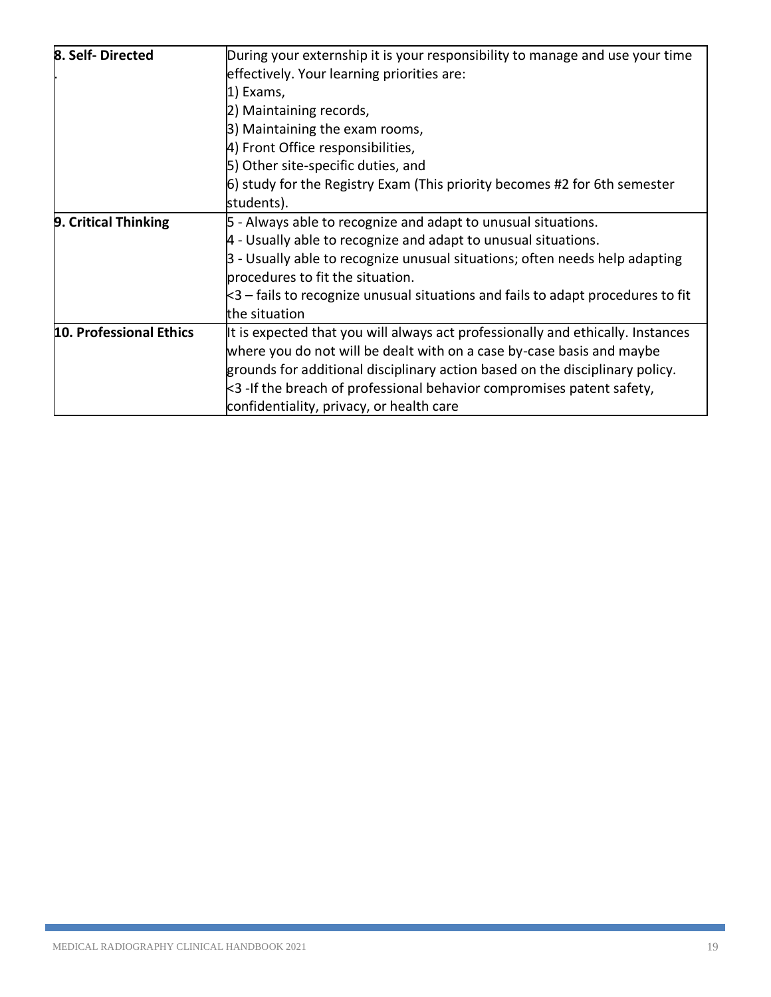| 8. Self-Directed        | During your externship it is your responsibility to manage and use your time                    |
|-------------------------|-------------------------------------------------------------------------------------------------|
|                         | effectively. Your learning priorities are:                                                      |
|                         | 1) Exams,                                                                                       |
|                         | 2) Maintaining records,                                                                         |
|                         | 3) Maintaining the exam rooms,                                                                  |
|                         | 4) Front Office responsibilities,                                                               |
|                         | 5) Other site-specific duties, and                                                              |
|                         | 6) study for the Registry Exam (This priority becomes #2 for 6th semester                       |
|                         | students).                                                                                      |
| 9. Critical Thinking    | 5 - Always able to recognize and adapt to unusual situations.                                   |
|                         | $4$ - Usually able to recognize and adapt to unusual situations.                                |
|                         | 3 - Usually able to recognize unusual situations; often needs help adapting                     |
|                         | procedures to fit the situation.                                                                |
|                         | $\measuredangle$ 3 – fails to recognize unusual situations and fails to adapt procedures to fit |
|                         | the situation                                                                                   |
| 10. Professional Ethics | It is expected that you will always act professionally and ethically. Instances                 |
|                         | where you do not will be dealt with on a case by-case basis and maybe                           |
|                         | grounds for additional disciplinary action based on the disciplinary policy.                    |
|                         | $\approx$ 3 -If the breach of professional behavior compromises patent safety,                  |
|                         | confidentiality, privacy, or health care                                                        |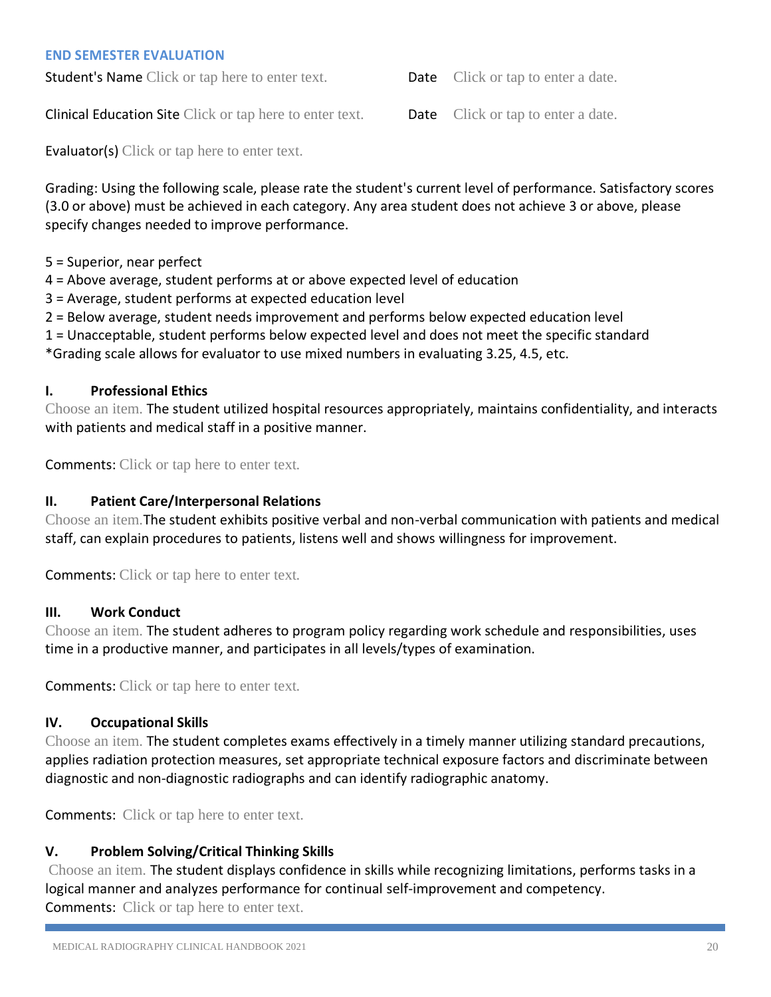#### <span id="page-19-0"></span>**END SEMESTER EVALUATION**

**Student's Name** Click or tap here to enter text. **Date** Click or tap to enter a date.

**Clinical Education Site Click or tap here to enter text.** Date Click or tap to enter a date.

**Evaluator(s)** Click or tap here to enter text.

Grading: Using the following scale, please rate the student's current level of performance. Satisfactory scores (3.0 or above) must be achieved in each category. Any area student does not achieve 3 or above, please specify changes needed to improve performance.

5 = Superior, near perfect

4 = Above average, student performs at or above expected level of education

3 = Average, student performs at expected education level

2 = Below average, student needs improvement and performs below expected education level

1 = Unacceptable, student performs below expected level and does not meet the specific standard

\*Grading scale allows for evaluator to use mixed numbers in evaluating 3.25, 4.5, etc.

#### **I. Professional Ethics**

Choose an item. The student utilized hospital resources appropriately, maintains confidentiality, and interacts with patients and medical staff in a positive manner.

Comments: Click or tap here to enter text.

## **II. Patient Care/Interpersonal Relations**

Choose an item.The student exhibits positive verbal and non-verbal communication with patients and medical staff, can explain procedures to patients, listens well and shows willingness for improvement.

Comments: Click or tap here to enter text.

#### **III. Work Conduct**

Choose an item. The student adheres to program policy regarding work schedule and responsibilities, uses time in a productive manner, and participates in all levels/types of examination.

Comments: Click or tap here to enter text.

#### **IV. Occupational Skills**

Choose an item. The student completes exams effectively in a timely manner utilizing standard precautions, applies radiation protection measures, set appropriate technical exposure factors and discriminate between diagnostic and non-diagnostic radiographs and can identify radiographic anatomy.

Comments: Click or tap here to enter text.

## **V. Problem Solving/Critical Thinking Skills**

Choose an item. The student displays confidence in skills while recognizing limitations, performs tasks in a logical manner and analyzes performance for continual self-improvement and competency. Comments: Click or tap here to enter text.